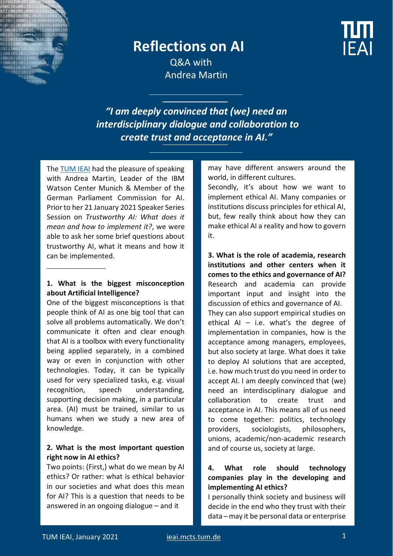

# **Reflections on AI**



Q&A with Andrea Martin

*"I am deeply convinced that (we) need an interdisciplinary dialogue and collaboration to create trust and acceptance in AI."*

The [TUM IEAI](https://ieai.mcts.tum.de/) had the pleasure of speaking with Andrea Martin, Leader of the IBM Watson Center Munich & Member of the German Parliament Commission for AI. Prior to her 21 January 2021 Speaker Series Session on *Trustworthy AI: What does it mean and how to implement it?*, we were able to ask her some brief questions about trustworthy AI, what it means and how it can be implemented.

### **1. What is the biggest misconception about Artificial Intelligence?**

One of the biggest misconceptions is that people think of AI as one big tool that can solve all problems automatically. We don't communicate it often and clear enough that AI is a toolbox with every functionality being applied separately, in a combined way or even in conjunction with other technologies. Today, it can be typically used for very specialized tasks, e.g. visual recognition, speech understanding, supporting decision making, in a particular area. (AI) must be trained, similar to us humans when we study a new area of knowledge.

### **2. What is the most important question right now in AI ethics?**

Two points: (First,) what do we mean by AI ethics? Or rather: what is ethical behavior in our societies and what does this mean for AI? This is a question that needs to be answered in an ongoing dialogue – and it

may have different answers around the world, in different cultures.

Secondly, it's about how we want to implement ethical AI. Many companies or institutions discuss principles for ethical AI, but, few really think about how they can make ethical AI a reality and how to govern it.

**3. What is the role of academia, research institutions and other centers when it comes to the ethics and governance of AI?** Research and academia can provide important input and insight into the discussion of ethics and governance of AI. They can also support empirical studies on ethical AI – i.e. what's the degree of implementation in companies, how is the acceptance among managers, employees, but also society at large. What does it take to deploy AI solutions that are accepted, i.e. how much trust do you need in order to accept AI. I am deeply convinced that (we) need an interdisciplinary dialogue and collaboration to create trust and acceptance in AI. This means all of us need to come together: politics, technology providers, sociologists, philosophers, unions, academic/non-academic research and of course us, society at large.

## **4. What role should technology companies play in the developing and implementing AI ethics?**

I personally think society and business will decide in the end who they trust with their data – may it be personal data or enterprise